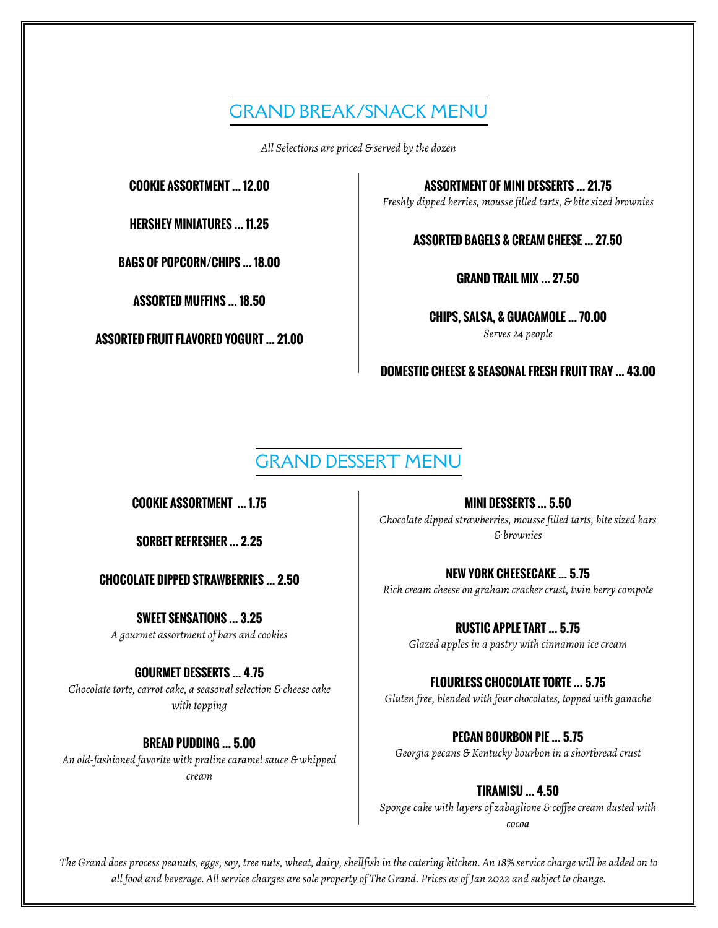## GRAND BREAK/SNACK MENU

*All Selections are priced & served by the dozen*

**HERSHEY MINIATURES … 11.25**

**BAGS OF POPCORN/CHIPS … 18.00**

**ASSORTED MUFFINS … 18.50**

*Serves 24 people* **ASSORTED FRUIT FLAVORED YOGURT … 21.00**

**COOKIE ASSORTMENT … 12.00 ASSORTMENT OF MINI DESSERTS … 21.75** *Freshly dipped berries, mousse filled tarts, & bite sized brownies*

**ASSORTED BAGELS & CREAM CHEESE … 27.50**

**GRAND TRAIL MIX … 27.50**

**CHIPS, SALSA, & GUACAMOLE … 70.00**

**DOMESTIC CHEESE & SEASONAL FRESH FRUIT TRAY … 43.00**

## GRAND DESSERT MENU

**CHOCOLATE DIPPED STRAWBERRIES … 2.50**

**SWEET SENSATIONS … 3.25** *A gourmet assortment of bars and cookies*

#### **GOURMET DESSERTS … 4.75**

*Chocolate torte, carrot cake, a seasonal selection & cheese cake with topping*

#### **BREAD PUDDING … 5.00**

*An old-fashioned favorite with praline caramel sauce & whipped cream*

**COOKIE ASSORTMENT … 1.75 MINI DESSERTS … 5.50** *Chocolate dipped strawberries, mousse filled tarts, bite sized bars & brownies* **SORBET REFRESHER … 2.25**

> **NEW YORK CHEESECAKE … 5.75** *Rich cream cheese on graham cracker crust, twin berry compote*

**RUSTIC APPLE TART … 5.75** *Glazed apples in a pastry with cinnamon ice cream*

#### **FLOURLESS CHOCOLATE TORTE … 5.75**

*Gluten free, blended with four chocolates, topped with ganache*

**PECAN BOURBON PIE … 5.75** *Georgia pecans & Kentucky bourbon in a shortbread crust*

**TIRAMISU … 4.50** *Sponge cake with layers of zabaglione & coffee cream dusted with cocoa*

*The Grand does process peanuts, eggs, soy, tree nuts, wheat, dairy, shellfish in the catering kitchen. An 18% service charge will be added on to all food and beverage. All service charges are sole property of The Grand. Prices as of Jan 2022 and subject to change.*